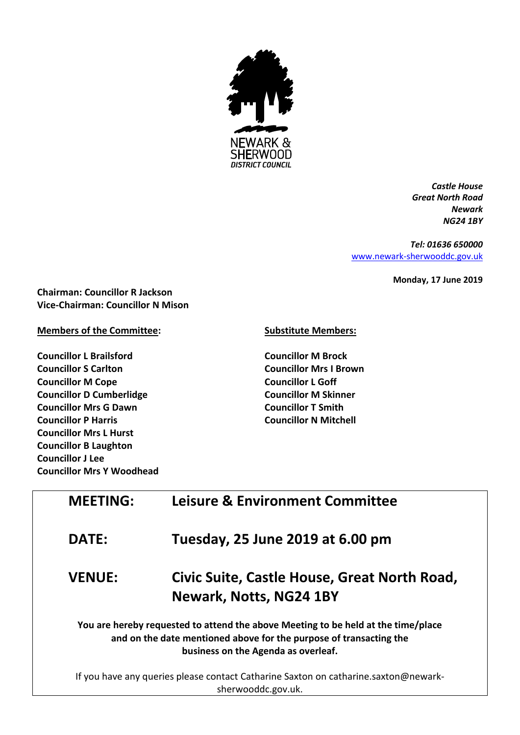

*Castle House Great North Road Newark NG24 1BY*

*Tel: 01636 650000* [www.newark-sherwooddc.gov.uk](http://www.newark-sherwooddc.gov.uk/)

**Monday, 17 June 2019**

**Chairman: Councillor R Jackson Vice-Chairman: Councillor N Mison**

## **Members of the Committee:**

**Councillor L Brailsford Councillor S Carlton Councillor M Cope Councillor D Cumberlidge Councillor Mrs G Dawn Councillor P Harris Councillor Mrs L Hurst Councillor B Laughton Councillor J Lee Councillor Mrs Y Woodhead**

## **Substitute Members:**

**Councillor M Brock Councillor Mrs I Brown Councillor L Goff Councillor M Skinner Councillor T Smith Councillor N Mitchell**

| <b>MEETING:</b> | <b>Leisure &amp; Environment Committee</b>                                                                                                                                                     |
|-----------------|------------------------------------------------------------------------------------------------------------------------------------------------------------------------------------------------|
| <b>DATE:</b>    | Tuesday, 25 June 2019 at 6.00 pm                                                                                                                                                               |
| <b>VENUE:</b>   | Civic Suite, Castle House, Great North Road,<br>Newark, Notts, NG24 1BY                                                                                                                        |
|                 | You are hereby requested to attend the above Meeting to be held at the time/place<br>and on the date mentioned above for the purpose of transacting the<br>business on the Agenda as overleaf. |
|                 | If you have any queries please contact Catharine Saxton on catharine.saxton@newark-                                                                                                            |

sherwooddc.gov.uk.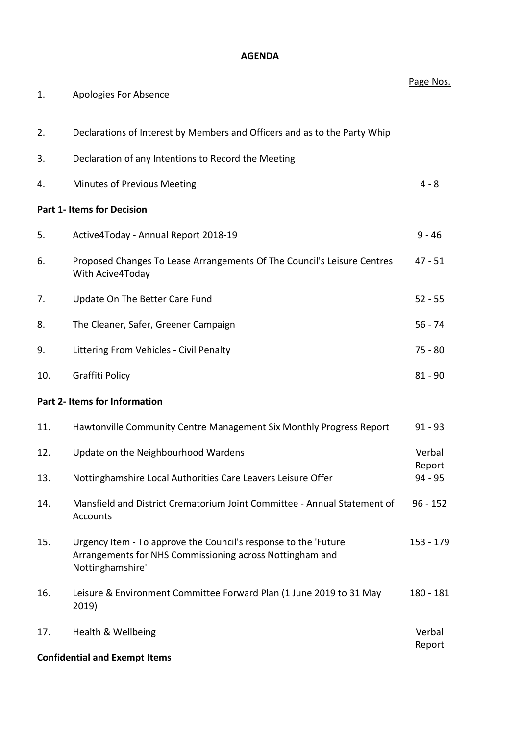## **AGENDA**

| 1.  | Apologies For Absence                                                                                                                           | Page Nos.           |
|-----|-------------------------------------------------------------------------------------------------------------------------------------------------|---------------------|
| 2.  | Declarations of Interest by Members and Officers and as to the Party Whip                                                                       |                     |
| 3.  | Declaration of any Intentions to Record the Meeting                                                                                             |                     |
| 4.  | Minutes of Previous Meeting                                                                                                                     | $4 - 8$             |
|     | <b>Part 1- Items for Decision</b>                                                                                                               |                     |
| 5.  | Active4Today - Annual Report 2018-19                                                                                                            | $9 - 46$            |
| 6.  | Proposed Changes To Lease Arrangements Of The Council's Leisure Centres<br>With Acive4Today                                                     | $47 - 51$           |
| 7.  | Update On The Better Care Fund                                                                                                                  | $52 - 55$           |
| 8.  | The Cleaner, Safer, Greener Campaign                                                                                                            | $56 - 74$           |
| 9.  | Littering From Vehicles - Civil Penalty                                                                                                         | $75 - 80$           |
| 10. | Graffiti Policy                                                                                                                                 | $81 - 90$           |
|     | Part 2- Items for Information                                                                                                                   |                     |
| 11. | Hawtonville Community Centre Management Six Monthly Progress Report                                                                             | $91 - 93$           |
| 12. | Update on the Neighbourhood Wardens                                                                                                             | Verbal              |
| 13. | Nottinghamshire Local Authorities Care Leavers Leisure Offer                                                                                    | Report<br>$94 - 95$ |
| 14. | Mansfield and District Crematorium Joint Committee - Annual Statement of<br>Accounts                                                            | $96 - 152$          |
| 15. | Urgency Item - To approve the Council's response to the 'Future<br>Arrangements for NHS Commissioning across Nottingham and<br>Nottinghamshire' | $153 - 179$         |
| 16. | Leisure & Environment Committee Forward Plan (1 June 2019 to 31 May<br>2019)                                                                    | 180 - 181           |
| 17. | Health & Wellbeing<br><b>Confidential and Exempt Items</b>                                                                                      | Verbal<br>Report    |